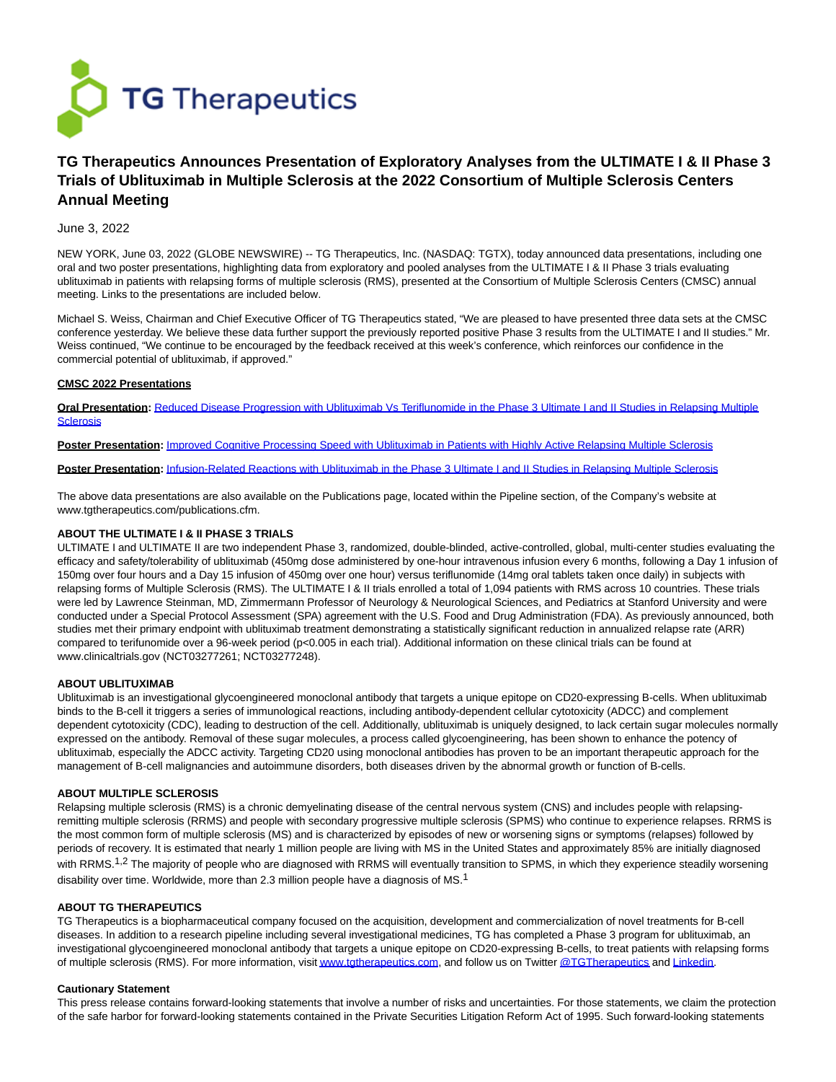

# **TG Therapeutics Announces Presentation of Exploratory Analyses from the ULTIMATE I & II Phase 3 Trials of Ublituximab in Multiple Sclerosis at the 2022 Consortium of Multiple Sclerosis Centers Annual Meeting**

# June 3, 2022

NEW YORK, June 03, 2022 (GLOBE NEWSWIRE) -- TG Therapeutics, Inc. (NASDAQ: TGTX), today announced data presentations, including one oral and two poster presentations, highlighting data from exploratory and pooled analyses from the ULTIMATE I & II Phase 3 trials evaluating ublituximab in patients with relapsing forms of multiple sclerosis (RMS), presented at the Consortium of Multiple Sclerosis Centers (CMSC) annual meeting. Links to the presentations are included below.

Michael S. Weiss, Chairman and Chief Executive Officer of TG Therapeutics stated, "We are pleased to have presented three data sets at the CMSC conference yesterday. We believe these data further support the previously reported positive Phase 3 results from the ULTIMATE I and II studies." Mr. Weiss continued, "We continue to be encouraged by the feedback received at this week's conference, which reinforces our confidence in the commercial potential of ublituximab, if approved."

## **CMSC 2022 Presentations**

**Oral Presentation:** [Reduced Disease Progression with Ublituximab Vs Teriflunomide in the Phase 3 Ultimate I and II Studies in Relapsing Multiple](https://www.globenewswire.com/Tracker?data=AnVY0lrtw5hRVAhnXvrdeDKg6zuQ2BS3Pd6LK-vxASffGXp20TQ1dLNSB6DyRNzV-o-XttIMp9-YE74ib9O153QzkYYyifRaATQucameaVfu0OKo2wTTm5hMGOGZ7P421lnaWl8Ab_h8J1fcAF5hm_IOfWS-BBqLMJFT_DyGSa_Rg04BJ2h4EEcffWr69grbN88UUee7q7hXeuJprYsJOxYk8P7eY2NxdpinTe_ebK0imEbrRd3DzqzuQytWf0yJW02LDwPKshMHyNw3rxHdySdGnMTZNSCvAOIddgAkV2GDFV1OEErE5QYgIFfQvcEZfCvVbIF0NKf19z9oa8XWDZM2beaTp8ztFvGtq8w64Wg=) **Sclerosis** 

**Poster Presentation:** [Improved Cognitive Processing Speed with Ublituximab in Patients with Highly Active Relapsing Multiple Sclerosis](https://www.globenewswire.com/Tracker?data=PAK4cB2buFso6vERTMfX0I4czPKOn5Qt_-KubCgrRRHawgA4B8ApGBlR5kQPPioAyf1gzfU4Sc_fzVHdZJs7ez9EocZ4B-wBOkP7QuM4jNL4bEN8gckiiSxHyabvKlIhpwGHeRB2uyToXDt_ZUowJNO5yK0Y7fof_sqV21gYYCg4A7d0qpccVfZZhLRw04cl4sS1H1GN8gyQ7Dnf-zrR7Ms0TiZ7qlYOnzpwUuqMD6iloCohXzSDZctlihhc_Qps8iHdRTIX-HTLlzRtyUJWiSMh9l5R66STz-IkksyLAQgDKJqe331QW5MW18hp8-dZ)

**Poster Presentation:** [Infusion-Related Reactions with Ublituximab in the Phase 3 Ultimate I and II Studies in Relapsing Multiple Sclerosis](https://www.globenewswire.com/Tracker?data=35tmw0BRR5UH06fVqA6DivnehjQEceW8K9tRU-ydmGOXSvsK-fvMRbVH57yscvfA2uZ-wF9me_cqxN4RvlPO80bwseh94fCla6KqSFVtNEOH3K-vtx2g5vCLRSufLfmoUIaB7EjVWx7TmfL_Df0tQAqxtiUF2MzCDdhgvqxus9ldYxCW1n3YaJNjjcXmlEf9olTFTiatSgPnpYjD7X6DZxC5YUHS7Gw91O3rJ5AYm5ZCa2Ha_nz7-9TRx4VySh22e4RURtVg7VgkWc2JixWcHn2odYD7rv_yZDdQCfynEJ4=)

The above data presentations are also available on the Publications page, located within the Pipeline section, of the Company's website at www.tgtherapeutics.com/publications.cfm.

# **ABOUT THE ULTIMATE I & II PHASE 3 TRIALS**

ULTIMATE I and ULTIMATE II are two independent Phase 3, randomized, double-blinded, active-controlled, global, multi-center studies evaluating the efficacy and safety/tolerability of ublituximab (450mg dose administered by one-hour intravenous infusion every 6 months, following a Day 1 infusion of 150mg over four hours and a Day 15 infusion of 450mg over one hour) versus teriflunomide (14mg oral tablets taken once daily) in subjects with relapsing forms of Multiple Sclerosis (RMS). The ULTIMATE I & II trials enrolled a total of 1,094 patients with RMS across 10 countries. These trials were led by Lawrence Steinman, MD, Zimmermann Professor of Neurology & Neurological Sciences, and Pediatrics at Stanford University and were conducted under a Special Protocol Assessment (SPA) agreement with the U.S. Food and Drug Administration (FDA). As previously announced, both studies met their primary endpoint with ublituximab treatment demonstrating a statistically significant reduction in annualized relapse rate (ARR) compared to terifunomide over a 96-week period (p<0.005 in each trial). Additional information on these clinical trials can be found at www.clinicaltrials.gov (NCT03277261; NCT03277248).

## **ABOUT UBLITUXIMAB**

Ublituximab is an investigational glycoengineered monoclonal antibody that targets a unique epitope on CD20-expressing B-cells. When ublituximab binds to the B-cell it triggers a series of immunological reactions, including antibody-dependent cellular cytotoxicity (ADCC) and complement dependent cytotoxicity (CDC), leading to destruction of the cell. Additionally, ublituximab is uniquely designed, to lack certain sugar molecules normally expressed on the antibody. Removal of these sugar molecules, a process called glycoengineering, has been shown to enhance the potency of ublituximab, especially the ADCC activity. Targeting CD20 using monoclonal antibodies has proven to be an important therapeutic approach for the management of B-cell malignancies and autoimmune disorders, both diseases driven by the abnormal growth or function of B-cells.

#### **ABOUT MULTIPLE SCLEROSIS**

Relapsing multiple sclerosis (RMS) is a chronic demyelinating disease of the central nervous system (CNS) and includes people with relapsingremitting multiple sclerosis (RRMS) and people with secondary progressive multiple sclerosis (SPMS) who continue to experience relapses. RRMS is the most common form of multiple sclerosis (MS) and is characterized by episodes of new or worsening signs or symptoms (relapses) followed by periods of recovery. It is estimated that nearly 1 million people are living with MS in the United States and approximately 85% are initially diagnosed with RRMS.<sup>1,2</sup> The majority of people who are diagnosed with RRMS will eventually transition to SPMS, in which they experience steadily worsening disability over time. Worldwide, more than 2.3 million people have a diagnosis of MS.<sup>1</sup>

#### **ABOUT TG THERAPEUTICS**

TG Therapeutics is a biopharmaceutical company focused on the acquisition, development and commercialization of novel treatments for B-cell diseases. In addition to a research pipeline including several investigational medicines, TG has completed a Phase 3 program for ublituximab, an investigational glycoengineered monoclonal antibody that targets a unique epitope on CD20-expressing B-cells, to treat patients with relapsing forms of multiple sclerosis (RMS). For more information, visi[t www.tgtherapeutics.com,](https://www.globenewswire.com/Tracker?data=xWzkIK3G8Z2Tp7vOso-0fcNNfd3C--ulO0ZbPEZuNWM-VSZ6KqL7nbJ5_nPOi19g-A2b8FU3gQCxZK9m7ZO76TkaVMwuQpLuK5-DE2H3Sw8w25XKTdcgh98qJ8YcRv9n3drTN9i9ByvXYdF3yddyKVmPYfpT8V5pQevGO9usBHbpJ-pgWDJOEdkZB2nPxULa9caaeUDJDK7Q6pxmVZP_S0sOAYM22nw7F56hPgdOgS35iAh67FV71oGG72bVrHc2vmXizHBsDr7ADahpLBVmoA==) and follow us on Twitte[r @TGTherapeutics a](https://www.globenewswire.com/Tracker?data=I9Nnwrj_cq6_mL3kMh8YJVYJoQmcAvxWRqmHeR5xp-23YOVptM454dd9L1vS6IRQxXzS6avDryqL3rLG0zkE0VKzNiLV2nZHKJZraV5qtmJ4kK_CCdMbHMk0cSINL5tnBqfpaMOIFtFcy9LJl9VlV5N3HeX6UCNOqDCX2AB-0xH-IqjKsGt8QiaXgQr1sItDzh1pao2HFxA7IWYoyqWepcrlZylJRgp6tKfKEB56yQtIypuftkTGQ87lO5rs1ltz)n[d Linkedin.](https://www.globenewswire.com/Tracker?data=_9MnTSUuICxmMfZ1zLE__-sw38pIjYyVTObxOGFBHZvqUVznqaGcb97IM2oL7RLmkZU8-lRXekD2mmWd9E1db6CZGk3Zvu97sOimbfJE3cUIle9O8IncttxW8R4iBbbf6TnBiBD3BDNxvn86bqTJplq8le92sXyobvE-uz8Szr0=)

#### **Cautionary Statement**

This press release contains forward-looking statements that involve a number of risks and uncertainties. For those statements, we claim the protection of the safe harbor for forward-looking statements contained in the Private Securities Litigation Reform Act of 1995. Such forward-looking statements